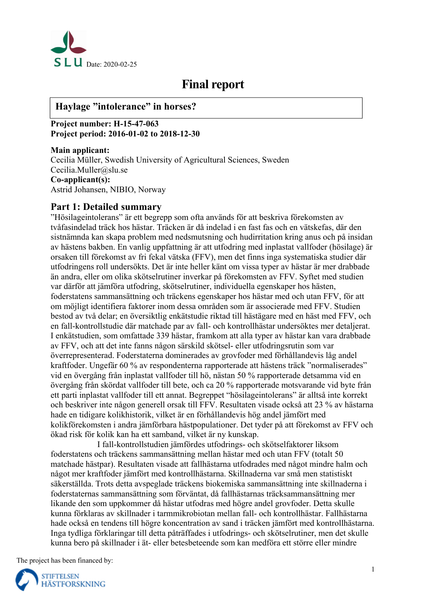

# **Final report**

# **Haylage "intolerance" in horses?**

**Project number: H-15-47-063 Project period: 2016-01-02 to 2018-12-30** 

**Main applicant:**  Cecilia Müller, Swedish University of Agricultural Sciences, Sweden Cecilia.Muller@slu.se **Co-applicant(s):**  Astrid Johansen, NIBIO, Norway

# **Part 1: Detailed summary**

"Hösilageintolerans" är ett begrepp som ofta används för att beskriva förekomsten av tvåfasindelad träck hos hästar. Träcken är då indelad i en fast fas och en vätskefas, där den sistnämnda kan skapa problem med nedsmutsning och hudirritation kring anus och på insidan av hästens bakben. En vanlig uppfattning är att utfodring med inplastat vallfoder (hösilage) är orsaken till förekomst av fri fekal vätska (FFV), men det finns inga systematiska studier där utfodringens roll undersökts. Det är inte heller känt om vissa typer av hästar är mer drabbade än andra, eller om olika skötselrutiner inverkar på förekomsten av FFV. Syftet med studien var därför att jämföra utfodring, skötselrutiner, individuella egenskaper hos hästen, foderstatens sammansättning och träckens egenskaper hos hästar med och utan FFV, för att om möjligt identifiera faktorer inom dessa områden som är associerade med FFV. Studien bestod av två delar; en översiktlig enkätstudie riktad till hästägare med en häst med FFV, och en fall-kontrollstudie där matchade par av fall- och kontrollhästar undersöktes mer detaljerat. I enkätstudien, som omfattade 339 hästar, framkom att alla typer av hästar kan vara drabbade av FFV, och att det inte fanns någon särskild skötsel- eller utfodringsrutin som var överrepresenterad. Foderstaterna dominerades av grovfoder med förhållandevis låg andel kraftfoder. Ungefär 60 % av respondenterna rapporterade att hästens träck "normaliserades" vid en övergång från inplastat vallfoder till hö, nästan 50 % rapporterade detsamma vid en övergång från skördat vallfoder till bete, och ca 20 % rapporterade motsvarande vid byte från ett parti inplastat vallfoder till ett annat. Begreppet "hösilageintolerans" är alltså inte korrekt och beskriver inte någon generell orsak till FFV. Resultaten visade också att 23 % av hästarna hade en tidigare kolikhistorik, vilket är en förhållandevis hög andel jämfört med kolikförekomsten i andra jämförbara hästpopulationer. Det tyder på att förekomst av FFV och ökad risk för kolik kan ha ett samband, vilket är ny kunskap.

I fall-kontrollstudien jämfördes utfodrings- och skötselfaktorer liksom foderstatens och träckens sammansättning mellan hästar med och utan FFV (totalt 50 matchade hästpar). Resultaten visade att fallhästarna utfodrades med något mindre halm och något mer kraftfoder jämfört med kontrollhästarna. Skillnaderna var små men statistiskt säkerställda. Trots detta avspeglade träckens biokemiska sammansättning inte skillnaderna i foderstaternas sammansättning som förväntat, då fallhästarnas träcksammansättning mer likande den som uppkommer då hästar utfodras med högre andel grovfoder. Detta skulle kunna förklaras av skillnader i tarmmikrobiotan mellan fall- och kontrollhästar. Fallhästarna hade också en tendens till högre koncentration av sand i träcken jämfört med kontrollhästarna. Inga tydliga förklaringar till detta påträffades i utfodrings- och skötselrutiner, men det skulle kunna bero på skillnader i ät- eller betesbeteende som kan medföra ett större eller mindre

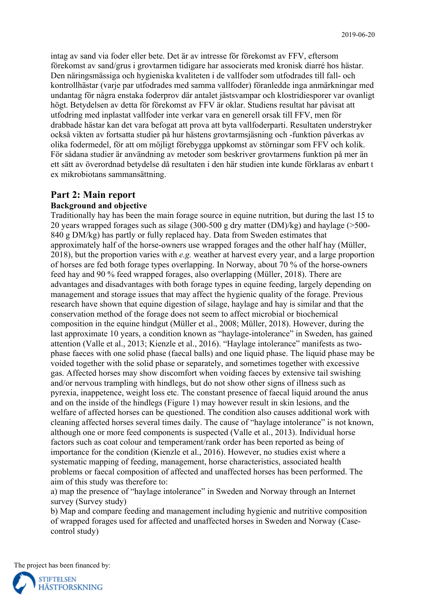intag av sand via foder eller bete. Det är av intresse för förekomst av FFV, eftersom förekomst av sand/grus i grovtarmen tidigare har associerats med kronisk diarré hos hästar. Den näringsmässiga och hygieniska kvaliteten i de vallfoder som utfodrades till fall- och kontrollhästar (varje par utfodrades med samma vallfoder) föranledde inga anmärkningar med undantag för några enstaka foderprov där antalet jästsvampar och klostridiesporer var ovanligt högt. Betydelsen av detta för förekomst av FFV är oklar. Studiens resultat har påvisat att utfodring med inplastat vallfoder inte verkar vara en generell orsak till FFV, men för drabbade hästar kan det vara befogat att prova att byta vallfoderparti. Resultaten understryker också vikten av fortsatta studier på hur hästens grovtarmsjäsning och -funktion påverkas av olika fodermedel, för att om möjligt förebygga uppkomst av störningar som FFV och kolik. För sådana studier är användning av metoder som beskriver grovtarmens funktion på mer än ett sätt av överordnad betydelse då resultaten i den här studien inte kunde förklaras av enbart t ex mikrobiotans sammansättning.

#### **Part 2: Main report**

#### **Background and objective**

Traditionally hay has been the main forage source in equine nutrition, but during the last 15 to 20 years wrapped forages such as silage (300-500 g dry matter (DM)/kg) and haylage (>500- 840 g DM/kg) has partly or fully replaced hay. Data from Sweden estimates that approximately half of the horse-owners use wrapped forages and the other half hay (Müller, 2018), but the proportion varies with *e.g.* weather at harvest every year, and a large proportion of horses are fed both forage types overlapping. In Norway, about 70 % of the horse-owners feed hay and 90 % feed wrapped forages, also overlapping (Müller, 2018). There are advantages and disadvantages with both forage types in equine feeding, largely depending on management and storage issues that may affect the hygienic quality of the forage. Previous research have shown that equine digestion of silage, haylage and hay is similar and that the conservation method of the forage does not seem to affect microbial or biochemical composition in the equine hindgut (Müller et al., 2008; Müller, 2018). However, during the last approximate 10 years, a condition known as "haylage-intolerance" in Sweden, has gained attention (Valle et al., 2013; Kienzle et al., 2016). "Haylage intolerance" manifests as twophase faeces with one solid phase (faecal balls) and one liquid phase. The liquid phase may be voided together with the solid phase or separately, and sometimes together with excessive gas. Affected horses may show discomfort when voiding faeces by extensive tail swishing and/or nervous trampling with hindlegs, but do not show other signs of illness such as pyrexia, inappetence, weight loss etc. The constant presence of faecal liquid around the anus and on the inside of the hindlegs (Figure 1) may however result in skin lesions, and the welfare of affected horses can be questioned. The condition also causes additional work with cleaning affected horses several times daily. The cause of "haylage intolerance" is not known, although one or more feed components is suspected (Valle et al., 2013). Individual horse factors such as coat colour and temperament/rank order has been reported as being of importance for the condition (Kienzle et al., 2016). However, no studies exist where a systematic mapping of feeding, management, horse characteristics, associated health problems or faecal composition of affected and unaffected horses has been performed. The aim of this study was therefore to:

a) map the presence of "haylage intolerance" in Sweden and Norway through an Internet survey (Survey study)

b) Map and compare feeding and management including hygienic and nutritive composition of wrapped forages used for affected and unaffected horses in Sweden and Norway (Casecontrol study)

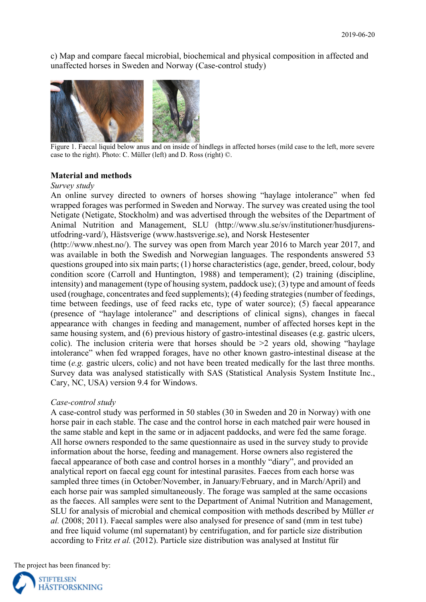c) Map and compare faecal microbial, biochemical and physical composition in affected and unaffected horses in Sweden and Norway (Case-control study)



 Figure 1. Faecal liquid below anus and on inside of hindlegs in affected horses (mild case to the left, more severe case to the right). Photo: C. Müller (left) and D. Ross (right) ©.

#### **Material and methods**

#### *Survey study*

An online survey directed to owners of horses showing "haylage intolerance" when fed wrapped forages was performed in Sweden and Norway. The survey was created using the tool Netigate (Netigate, Stockholm) and was advertised through the websites of the Department of Animal Nutrition and Management, SLU (http://www.slu.se/sv/institutioner/husdjurensutfodring-vard/), Hästsverige (www.hastsverige.se), and Norsk Hestesenter

(http://www.nhest.no/). The survey was open from March year 2016 to March year 2017, and was available in both the Swedish and Norwegian languages. The respondents answered 53 questions grouped into six main parts; (1) horse characteristics (age, gender, breed, colour, body condition score (Carroll and Huntington, 1988) and temperament); (2) training (discipline, intensity) and management (type of housing system, paddock use); (3) type and amount of feeds used (roughage, concentrates and feed supplements); (4) feeding strategies (number of feedings, time between feedings, use of feed racks etc, type of water source); (5) faecal appearance (presence of "haylage intolerance" and descriptions of clinical signs), changes in faecal appearance with changes in feeding and management, number of affected horses kept in the same housing system, and (6) previous history of gastro-intestinal diseases (e.g. gastric ulcers, colic). The inclusion criteria were that horses should be  $\geq 2$  years old, showing "haylage intolerance" when fed wrapped forages, have no other known gastro-intestinal disease at the time (*e.g.* gastric ulcers, colic) and not have been treated medically for the last three months. Survey data was analysed statistically with SAS (Statistical Analysis System Institute Inc., Cary, NC, USA) version 9.4 for Windows.

#### *Case-control study*

A case-control study was performed in 50 stables (30 in Sweden and 20 in Norway) with one horse pair in each stable. The case and the control horse in each matched pair were housed in the same stable and kept in the same or in adjacent paddocks, and were fed the same forage. All horse owners responded to the same questionnaire as used in the survey study to provide information about the horse, feeding and management. Horse owners also registered the faecal appearance of both case and control horses in a monthly "diary", and provided an analytical report on faecal egg count for intestinal parasites. Faeces from each horse was sampled three times (in October/November, in January/February, and in March/April) and each horse pair was sampled simultaneously. The forage was sampled at the same occasions as the faeces. All samples were sent to the Department of Animal Nutrition and Management, SLU for analysis of microbial and chemical composition with methods described by Müller *et al.* (2008; 2011). Faecal samples were also analysed for presence of sand (mm in test tube) and free liquid volume (ml supernatant) by centrifugation, and for particle size distribution according to Fritz *et al.* (2012). Particle size distribution was analysed at Institut für

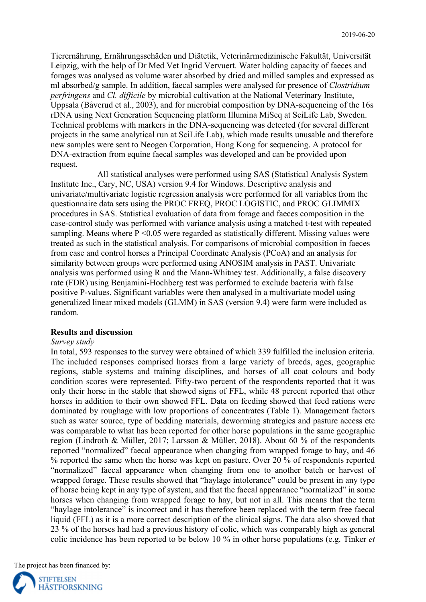Tierernährung, Ernährungsschäden und Diätetik, Veterinärmedizinische Fakultät, Universität Leipzig, with the help of Dr Med Vet Ingrid Vervuert. Water holding capacity of faeces and forages was analysed as volume water absorbed by dried and milled samples and expressed as ml absorbed/g sample. In addition, faecal samples were analysed for presence of *Clostridium perfringens* and *Cl. difficile* by microbial cultivation at the National Veterinary Institute, Uppsala (Båverud et al., 2003), and for microbial composition by DNA-sequencing of the 16s rDNA using Next Generation Sequencing platform Illumina MiSeq at SciLife Lab, Sweden. Technical problems with markers in the DNA-sequencing was detected (for several different projects in the same analytical run at SciLife Lab), which made results unusable and therefore new samples were sent to Neogen Corporation, Hong Kong for sequencing. A protocol for DNA-extraction from equine faecal samples was developed and can be provided upon request.

All statistical analyses were performed using SAS (Statistical Analysis System Institute Inc., Cary, NC, USA) version 9.4 for Windows. Descriptive analysis and univariate/multivariate logistic regression analysis were performed for all variables from the questionnaire data sets using the PROC FREQ, PROC LOGISTIC, and PROC GLIMMIX procedures in SAS. Statistical evaluation of data from forage and faeces composition in the case-control study was performed with variance analysis using a matched t-test with repeated sampling. Means where  $P \le 0.05$  were regarded as statistically different. Missing values were treated as such in the statistical analysis. For comparisons of microbial composition in faeces from case and control horses a Principal Coordinate Analysis (PCoA) and an analysis for similarity between groups were performed using ANOSIM analysis in PAST. Univariate analysis was performed using R and the Mann-Whitney test. Additionally, a false discovery rate (FDR) using Benjamini-Hochberg test was performed to exclude bacteria with false positive P-values. Significant variables were then analysed in a multivariate model using generalized linear mixed models (GLMM) in SAS (version 9.4) were farm were included as random.

#### **Results and discussion**

#### *Survey study*

In total, 593 responses to the survey were obtained of which 339 fulfilled the inclusion criteria. The included responses comprised horses from a large variety of breeds, ages, geographic regions, stable systems and training disciplines, and horses of all coat colours and body condition scores were represented. Fifty-two percent of the respondents reported that it was only their horse in the stable that showed signs of FFL, while 48 percent reported that other horses in addition to their own showed FFL. Data on feeding showed that feed rations were dominated by roughage with low proportions of concentrates (Table 1). Management factors such as water source, type of bedding materials, deworming strategies and pasture access etc was comparable to what has been reported for other horse populations in the same geographic region (Lindroth & Müller, 2017; Larsson & Müller, 2018). About 60 % of the respondents reported "normalized" faecal appearance when changing from wrapped forage to hay, and 46 % reported the same when the horse was kept on pasture. Over 20 % of respondents reported "normalized" faecal appearance when changing from one to another batch or harvest of wrapped forage. These results showed that "haylage intolerance" could be present in any type of horse being kept in any type of system, and that the faecal appearance "normalized" in some horses when changing from wrapped forage to hay, but not in all. This means that the term "haylage intolerance" is incorrect and it has therefore been replaced with the term free faecal liquid (FFL) as it is a more correct description of the clinical signs. The data also showed that 23 % of the horses had had a previous history of colic, which was comparably high as general colic incidence has been reported to be below 10 % in other horse populations (e.g. Tinker *et* 

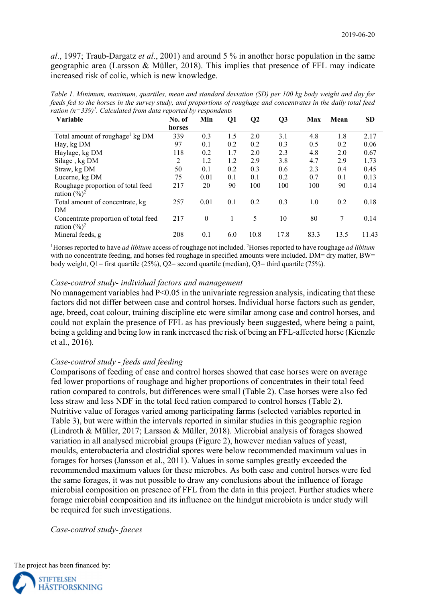*al*., 1997; Traub-Dargatz *et al*., 2001) and around 5 % in another horse population in the same geographic area (Larsson & Müller, 2018). This implies that presence of FFL may indicate increased risk of colic, which is new knowledge.

*Table 1. Minimum, maximum, quartiles, mean and standard deviation (SD) per 100 kg body weight and day for feeds fed to the horses in the survey study, and proportions of roughage and concentrates in the daily total feed ration (n=339)1 . Calculated from data reported by respondents* 

| <b>Variable</b>                                                  | No. of | Min      | Q1  | $\bf Q2$ | Q <sub>3</sub> | Max  | Mean | <b>SD</b> |
|------------------------------------------------------------------|--------|----------|-----|----------|----------------|------|------|-----------|
|                                                                  | horses |          |     |          |                |      |      |           |
| Total amount of roughage <sup>1</sup> kg DM                      | 339    | 0.3      | 1.5 | 2.0      | 3.1            | 4.8  | 1.8  | 2.17      |
| Hay, kg DM                                                       | 97     | 0.1      | 0.2 | 0.2      | 0.3            | 0.5  | 0.2  | 0.06      |
| Haylage, kg DM                                                   | 118    | 0.2      | 1.7 | 2.0      | 2.3            | 4.8  | 2.0  | 0.67      |
| Silage, kg DM                                                    | 2      | 1.2      | 1.2 | 2.9      | 3.8            | 4.7  | 2.9  | 1.73      |
| Straw, kg DM                                                     | 50     | 0.1      | 0.2 | 0.3      | 0.6            | 2.3  | 0.4  | 0.45      |
| Lucerne, kg DM                                                   | 75     | 0.01     | 0.1 | 0.1      | 0.2            | 0.7  | 0.1  | 0.13      |
| Roughage proportion of total feed<br>ration $(\frac{9}{6})^2$    | 217    | 20       | 90  | 100      | 100            | 100  | 90   | 0.14      |
| Total amount of concentrate, kg<br>DM                            | 257    | 0.01     | 0.1 | 0.2      | 0.3            | 1.0  | 0.2  | 0.18      |
| Concentrate proportion of total feed<br>ration $(\frac{9}{6})^2$ | 217    | $\theta$ | 1   | 5        | 10             | 80   | 7    | 0.14      |
| Mineral feeds, g                                                 | 208    | 0.1      | 6.0 | 10.8     | 17.8           | 83.3 | 13.5 | 11.43     |

<sup>1</sup>Horses reported to have *ad libitum* access of roughage not included. <sup>2</sup>Horses reported to have roughage *ad libitum* with no concentrate feeding, and horses fed roughage in specified amounts were included. DM= dry matter, BW= body weight,  $Q1$ = first quartile (25%),  $Q2$ = second quartile (median),  $Q3$ = third quartile (75%).

#### *Case-control study- individual factors and management*

No management variables had P<0.05 in the univariate regression analysis, indicating that these factors did not differ between case and control horses. Individual horse factors such as gender, age, breed, coat colour, training discipline etc were similar among case and control horses, and could not explain the presence of FFL as has previously been suggested, where being a paint, being a gelding and being low in rank increased the risk of being an FFL-affected horse (Kienzle et al., 2016).

### *Case-control study - feeds and feeding*

Comparisons of feeding of case and control horses showed that case horses were on average fed lower proportions of roughage and higher proportions of concentrates in their total feed ration compared to controls, but differences were small (Table 2). Case horses were also fed less straw and less NDF in the total feed ration compared to control horses (Table 2). Nutritive value of forages varied among participating farms (selected variables reported in Table 3), but were within the intervals reported in similar studies in this geographic region (Lindroth & Müller, 2017; Larsson & Müller, 2018). Microbial analysis of forages showed variation in all analysed microbial groups (Figure 2), however median values of yeast, moulds, enterobacteria and clostridial spores were below recommended maximum values in forages for horses (Jansson et al., 2011). Values in some samples greatly exceeded the recommended maximum values for these microbes. As both case and control horses were fed the same forages, it was not possible to draw any conclusions about the influence of forage microbial composition on presence of FFL from the data in this project. Further studies where forage microbial composition and its influence on the hindgut microbiota is under study will be required for such investigations.

*Case-control study- faeces* 

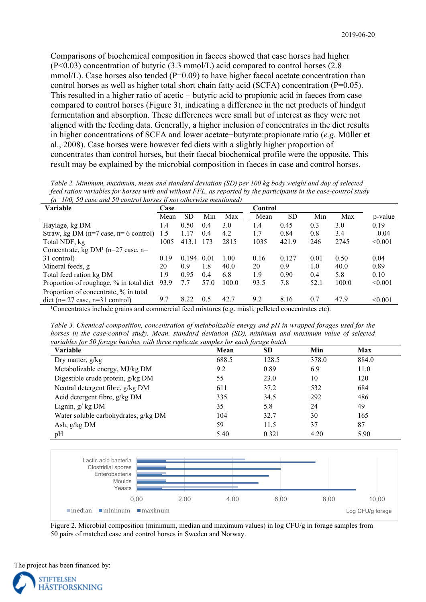Comparisons of biochemical composition in faeces showed that case horses had higher (P<0.03) concentration of butyric (3.3 mmol/L) acid compared to control horses (2.8 mmol/L). Case horses also tended ( $P=0.09$ ) to have higher faecal acetate concentration than control horses as well as higher total short chain fatty acid (SCFA) concentration ( $P=0.05$ ). This resulted in a higher ratio of acetic + butyric acid to propionic acid in faeces from case compared to control horses (Figure 3), indicating a difference in the net products of hindgut fermentation and absorption. These differences were small but of interest as they were not aligned with the feeding data. Generally, a higher inclusion of concentrates in the diet results in higher concentrations of SCFA and lower acetate+butyrate:propionate ratio (*e.g.* Müller et al., 2008). Case horses were however fed diets with a slightly higher proportion of concentrates than control horses, but their faecal biochemical profile were the opposite. This result may be explained by the microbial composition in faeces in case and control horses.

| Table 2. Minimum, maximum, mean and standard deviation (SD) per 100 kg body weight and day of selected           |
|------------------------------------------------------------------------------------------------------------------|
| feed ration variables for horses with and without FFL, as reported by the participants in the case-control study |
| $(n=100, 50$ case and 50 control horses if not otherwise mentioned)                                              |

| Variable                                               | Case |       |      |       | <b>Control</b> |           |         |       |         |
|--------------------------------------------------------|------|-------|------|-------|----------------|-----------|---------|-------|---------|
|                                                        | Mean | SD.   | Min  | Max   | Mean           | <b>SD</b> | Min     | Max   | p-value |
| Haylage, kg DM                                         | 1.4  | 0.50  | 0.4  | 3.0   | l .4           | 0.45      | 0.3     | 3.0   | 0.19    |
| Straw, kg DM $(n=7 \text{ case}, n=6 \text{ control})$ | 1.5  | 1.17  | 0.4  | 4.2   | 1.7            | 0.84      | 0.8     | 3.4   | 0.04    |
| Total NDF, kg                                          | 1005 | 413.1 | 173  | 2815  | 1035           | 421.9     | 246     | 2745  | < 0.001 |
| Concentrate, kg DM <sup>1</sup> ( $n=27$ case, $n=$    |      |       |      |       |                |           |         |       |         |
| 31 control)                                            | 0.19 | 0.194 | 0.01 | 1.00  | 0.16           | 0.127     | 0.01    | 0.50  | 0.04    |
| Mineral feeds, g                                       | 20   | 0.9   | 1.8  | 40.0  | 20             | 0.9       | $1.0\,$ | 40.0  | 0.89    |
| Total feed ration kg DM                                | 1.9  | 0.95  | 0.4  | 6.8   | 1.9            | 0.90      | 0.4     | 5.8   | 0.10    |
| Proportion of roughage, % in total diet                | 93.9 | 7.7   | 57.0 | 100.0 | 93.5           | 7.8       | 52.1    | 100.0 | < 0.001 |
| Proportion of concentrate, % in total                  |      |       |      |       |                |           |         |       |         |
| $\det$ (n= 27 case, n=31 control)                      | 9.7  | 8.22  | 0.5  | 42.7  | 9.2            | 8.16      | 0.7     | 47.9  | < 0.001 |

<sup>1</sup>Concentrates include grains and commercial feed mixtures (e.g. müsli, pelleted concentrates etc).

*Table 3. Chemical composition, concentration of metabolizable energy and pH in wrapped forages used for the horses in the case-control study. Mean, standard deviation (SD), minimum and maximum value of selected variables for 50 forage batches with three replicate samples for each forage batch*

| Variable                             | Mean  | <b>SD</b> | Min   | Max   |
|--------------------------------------|-------|-----------|-------|-------|
| Dry matter, $g/kg$                   | 688.5 | 128.5     | 378.0 | 884.0 |
| Metabolizable energy, MJ/kg DM       | 9.2   | 0.89      | 6.9   | 11.0  |
| Digestible crude protein, g/kg DM    | 55    | 23.0      | 10    | 120   |
| Neutral detergent fibre, g/kg DM     | 611   | 37.2      | 532   | 684   |
| Acid detergent fibre, g/kg DM        | 335   | 34.5      | 292   | 486   |
| Lignin, $g/kgDM$                     | 35    | 5.8       | 24    | 49    |
| Water soluble carbohydrates, g/kg DM | 104   | 32.7      | 30    | 165   |
| Ash, g/kg DM                         | 59    | 11.5      | 37    | 87    |
| pH                                   | 5.40  | 0.321     | 4.20  | 5.90  |



Figure 2. Microbial composition (minimum, median and maximum values) in log CFU/g in forage samples from 50 pairs of matched case and control horses in Sweden and Norway.



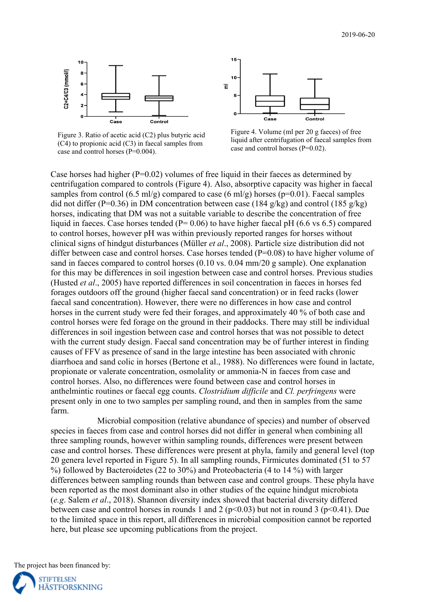



Figure 3. Ratio of acetic acid (C2) plus butyric acid (C4) to propionic acid (C3) in faecal samples from case and control horses (P=0.004).



Case horses had higher  $(P=0.02)$  volumes of free liquid in their faeces as determined by centrifugation compared to controls (Figure 4). Also, absorptive capacity was higher in faecal samples from control  $(6.5 \text{ ml/g})$  compared to case  $(6 \text{ ml/g})$  horses (p=0.01). Faecal samples did not differ (P=0.36) in DM concentration between case (184 g/kg) and control (185 g/kg) horses, indicating that DM was not a suitable variable to describe the concentration of free liquid in faeces. Case horses tended ( $P= 0.06$ ) to have higher faecal pH (6.6 vs 6.5) compared to control horses, however pH was within previously reported ranges for horses without clinical signs of hindgut disturbances (Müller *et al*., 2008). Particle size distribution did not differ between case and control horses. Case horses tended  $(P=0.08)$  to have higher volume of sand in faeces compared to control horses (0.10 vs. 0.04 mm/20 g sample). One explanation for this may be differences in soil ingestion between case and control horses. Previous studies (Husted *et al*., 2005) have reported differences in soil concentration in faeces in horses fed forages outdoors off the ground (higher faecal sand concentration) or in feed racks (lower faecal sand concentration). However, there were no differences in how case and control horses in the current study were fed their forages, and approximately 40 % of both case and control horses were fed forage on the ground in their paddocks. There may still be individual differences in soil ingestion between case and control horses that was not possible to detect with the current study design. Faecal sand concentration may be of further interest in finding causes of FFV as presence of sand in the large intestine has been associated with chronic diarrhoea and sand colic in horses (Bertone et al., 1988). No differences were found in lactate, propionate or valerate concentration, osmolality or ammonia-N in faeces from case and control horses. Also, no differences were found between case and control horses in anthelmintic routines or faecal egg counts. *Clostridium difficile* and *Cl. perfringens* were present only in one to two samples per sampling round, and then in samples from the same farm.

Microbial composition (relative abundance of species) and number of observed species in faeces from case and control horses did not differ in general when combining all three sampling rounds, however within sampling rounds, differences were present between case and control horses. These differences were present at phyla, family and general level (top 20 genera level reported in Figure 5). In all sampling rounds, Firmicutes dominated (51 to 57 %) followed by Bacteroidetes (22 to 30%) and Proteobacteria (4 to 14 %) with larger differences between sampling rounds than between case and control groups. These phyla have been reported as the most dominant also in other studies of the equine hindgut microbiota (*e.g*. Salem *et al*., 2018). Shannon diversity index showed that bacterial diversity differed between case and control horses in rounds 1 and 2 ( $p<0.03$ ) but not in round 3 ( $p<0.41$ ). Due to the limited space in this report, all differences in microbial composition cannot be reported here, but please see upcoming publications from the project.

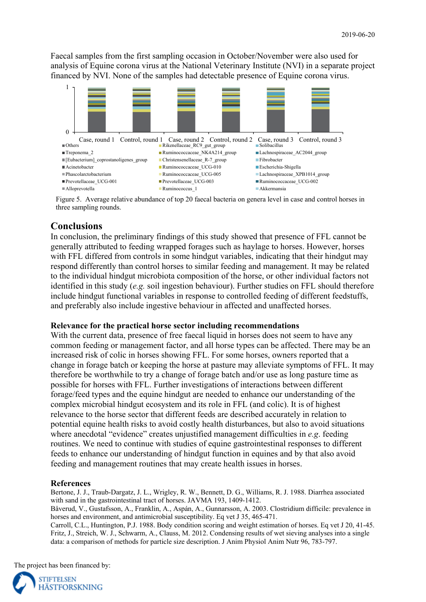Faecal samples from the first sampling occasion in October/November were also used for analysis of Equine corona virus at the National Veterinary Institute (NVI) in a separate project financed by NVI. None of the samples had detectable presence of Equine corona virus.



Figure 5. Average relative abundance of top 20 faecal bacteria on genera level in case and control horses in three sampling rounds.

# **Conclusions**

In conclusion, the preliminary findings of this study showed that presence of FFL cannot be generally attributed to feeding wrapped forages such as haylage to horses. However, horses with FFL differed from controls in some hindgut variables, indicating that their hindgut may respond differently than control horses to similar feeding and management. It may be related to the individual hindgut microbiota composition of the horse, or other individual factors not identified in this study (*e.g.* soil ingestion behaviour). Further studies on FFL should therefore include hindgut functional variables in response to controlled feeding of different feedstuffs, and preferably also include ingestive behaviour in affected and unaffected horses.

#### **Relevance for the practical horse sector including recommendations**

With the current data, presence of free faecal liquid in horses does not seem to have any common feeding or management factor, and all horse types can be affected. There may be an increased risk of colic in horses showing FFL. For some horses, owners reported that a change in forage batch or keeping the horse at pasture may alleviate symptoms of FFL. It may therefore be worthwhile to try a change of forage batch and/or use as long pasture time as possible for horses with FFL. Further investigations of interactions between different forage/feed types and the equine hindgut are needed to enhance our understanding of the complex microbial hindgut ecosystem and its role in FFL (and colic). It is of highest relevance to the horse sector that different feeds are described accurately in relation to potential equine health risks to avoid costly health disturbances, but also to avoid situations where anecdotal "evidence" creates unjustified management difficulties in *e.g*. feeding routines. We need to continue with studies of equine gastrointestinal responses to different feeds to enhance our understanding of hindgut function in equines and by that also avoid feeding and management routines that may create health issues in horses.

### **References**

Bertone, J. J., Traub‐Dargatz, J. L., Wrigley, R. W., Bennett, D. G., Williams, R. J. 1988. Diarrhea associated with sand in the gastrointestinal tract of horses. JAVMA 193, 1409-1412.

Båverud, V., Gustafsson, A., Franklin, A., Aspán, A., Gunnarsson, A. 2003. Clostridium difficile: prevalence in horses and environment, and antimicrobial susceptibility. Eq vet J 35, 465-471.

Carroll, C.L., Huntington, P.J. 1988. Body condition scoring and weight estimation of horses. Eq vet J 20, 41-45. Fritz, J., Streich, W. J., Schwarm, A., Clauss, M. 2012. Condensing results of wet sieving analyses into a single data: a comparison of methods for particle size description. J Anim Physiol Anim Nutr 96, 783-797.

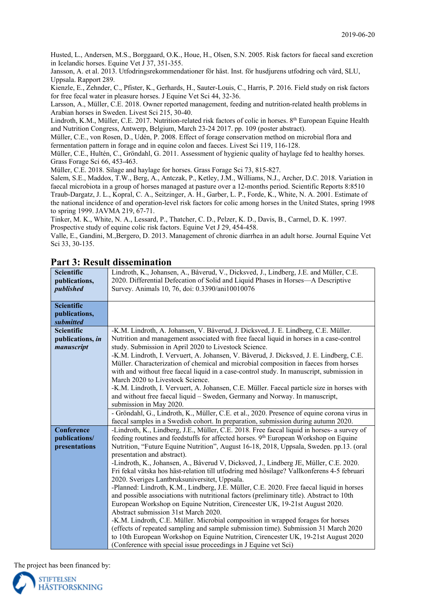Husted, L., Andersen, M.S., Borggaard, O.K., Houe, H., Olsen, S.N. 2005. Risk factors for faecal sand excretion in Icelandic horses. Equine Vet J 37, 351-355.

Jansson, A. et al. 2013. Utfodringsrekommendationer för häst. Inst. för husdjurens utfodring och vård, SLU, Uppsala. Rapport 289.

Kienzle, E., Zehnder, C., Pfister, K., Gerhards, H., Sauter-Louis, C., Harris, P. 2016. Field study on risk factors for free fecal water in pleasure horses. J Equine Vet Sci 44, 32-36.

Larsson, A., Müller, C.E. 2018. Owner reported management, feeding and nutrition-related health problems in Arabian horses in Sweden. Livest Sci 215, 30-40.

Lindroth, K.M., Müller, C.E. 2017. Nutrition-related risk factors of colic in horses. 8<sup>th</sup> European Equine Health and Nutrition Congress, Antwerp, Belgium, March 23-24 2017. pp. 109 (poster abstract).

Müller, C.E., von Rosen, D., Udén, P. 2008. Effect of forage conservation method on microbial flora and fermentation pattern in forage and in equine colon and faeces. Livest Sci 119, 116-128.

Müller, C.E., Hultén, C., Gröndahl, G. 2011. Assessment of hygienic quality of haylage fed to healthy horses. Grass Forage Sci 66, 453-463.

Müller, C.E. 2018. Silage and haylage for horses. Grass Forage Sci 73, 815-827.

Salem, S.E., Maddox, T.W., Berg, A., Antczak, P., Ketley, J.M., Williams, N.J., Archer, D.C. 2018. Variation in faecal microbiota in a group of horses managed at pasture over a 12-months period. Scientific Reports 8:8510 Traub-Dargatz, J. L., Kopral, C. A., Seitzinger, A. H., Garber, L. P., Forde, K., White, N. A. 2001. Estimate of the national incidence of and operation-level risk factors for colic among horses in the United States, spring 1998 to spring 1999. JAVMA 219, 67-71.

Tinker, M. K., White, N. A., Lessard, P., Thatcher, C. D., Pelzer, K. D., Davis, B., Carmel, D. K. 1997. Prospective study of equine colic risk factors. Equine Vet J 29, 454-458.

Valle, E., Gandini, M.,Bergero, D. 2013. Management of chronic diarrhea in an adult horse. Journal Equine Vet Sci 33, 30-135.

| <b>Scientific</b><br>publications,<br>published | Lindroth, K., Johansen, A., Båverud, V., Dicksved, J., Lindberg, J.E. and Müller, C.E.<br>2020. Differential Defecation of Solid and Liquid Phases in Horses-A Descriptive<br>Survey. Animals 10, 76, doi: 0.3390/ani10010076 |
|-------------------------------------------------|-------------------------------------------------------------------------------------------------------------------------------------------------------------------------------------------------------------------------------|
|                                                 |                                                                                                                                                                                                                               |
| <b>Scientific</b><br>publications,              |                                                                                                                                                                                                                               |
| submitted<br><b>Scientific</b>                  | -K.M. Lindroth, A. Johansen, V. Båverud, J. Dicksved, J. E. Lindberg, C.E. Müller.                                                                                                                                            |
| publications, in                                | Nutrition and management associated with free faecal liquid in horses in a case-control                                                                                                                                       |
| manuscript                                      | study. Submission in April 2020 to Livestock Science.                                                                                                                                                                         |
|                                                 | -K.M. Lindroth, I. Vervuert, A. Johansen, V. Båverud, J. Dicksved, J. E. Lindberg, C.E.                                                                                                                                       |
|                                                 | Müller. Characterization of chemical and microbial composition in faeces from horses                                                                                                                                          |
|                                                 | with and without free faecal liquid in a case-control study. In manuscript, submission in                                                                                                                                     |
|                                                 | March 2020 to Livestock Science.                                                                                                                                                                                              |
|                                                 | -K.M. Lindroth, I. Vervuert, A. Johansen, C.E. Müller. Faecal particle size in horses with                                                                                                                                    |
|                                                 | and without free faecal liquid - Sweden, Germany and Norway. In manuscript,                                                                                                                                                   |
|                                                 | submission in May 2020.<br>- Gröndahl, G., Lindroth, K., Müller, C.E. et al., 2020. Presence of equine corona virus in                                                                                                        |
|                                                 | faecal samples in a Swedish cohort. In preparation, submission during autumn 2020.                                                                                                                                            |
| <b>Conference</b>                               | -Lindroth, K., Lindberg, J.E., Müller, C.E. 2018. Free faecal liquid in horses- a survey of                                                                                                                                   |
| publications/                                   | feeding routines and feedstuffs for affected horses. 9 <sup>th</sup> European Workshop on Equine                                                                                                                              |
| presentations                                   | Nutrition, "Future Equine Nutrition", August 16-18, 2018, Uppsala, Sweden. pp.13. (oral                                                                                                                                       |
|                                                 | presentation and abstract).                                                                                                                                                                                                   |
|                                                 | -Lindroth, K., Johansen, A., Båverud V, Dicksved, J., Lindberg JE, Müller, C.E. 2020.                                                                                                                                         |
|                                                 | Fri fekal vätska hos häst-relation till utfodring med hösilage? Vallkonferens 4-5 februari                                                                                                                                    |
|                                                 | 2020. Sveriges Lantbruksuniversitet, Uppsala.                                                                                                                                                                                 |
|                                                 | -Planned: Lindroth, K.M., Lindberg, J.E. Müller, C.E. 2020. Free faecal liquid in horses                                                                                                                                      |
|                                                 | and possible associations with nutritional factors (preliminary title). Abstract to 10th<br>European Workshop on Equine Nutrition, Cirencester UK, 19-21st August 2020.                                                       |
|                                                 | Abstract submission 31st March 2020.                                                                                                                                                                                          |
|                                                 | -K.M. Lindroth, C.E. Müller. Microbial composition in wrapped forages for horses                                                                                                                                              |
|                                                 | (effects of repeated sampling and sample submission time). Submission 31 March 2020                                                                                                                                           |
|                                                 | to 10th European Workshop on Equine Nutrition, Cirencester UK, 19-21st August 2020                                                                                                                                            |
|                                                 | (Conference with special issue proceedings in J Equine vet Sci)                                                                                                                                                               |

## **Part 3: Result dissemination**